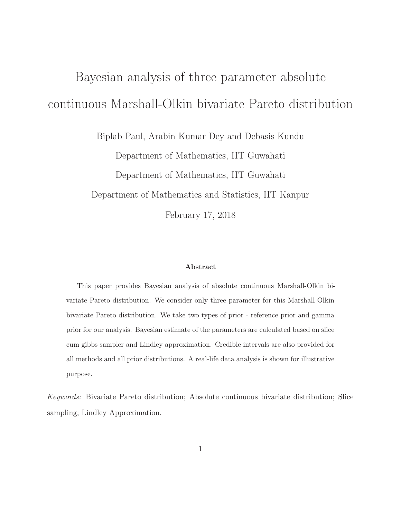# Bayesian analysis of three parameter absolute continuous Marshall-Olkin bivariate Pareto distribution

Biplab Paul, Arabin Kumar Dey and Debasis Kundu

Department of Mathematics, IIT Guwahati Department of Mathematics, IIT Guwahati Department of Mathematics and Statistics, IIT Kanpur February 17, 2018

#### Abstract

This paper provides Bayesian analysis of absolute continuous Marshall-Olkin bivariate Pareto distribution. We consider only three parameter for this Marshall-Olkin bivariate Pareto distribution. We take two types of prior - reference prior and gamma prior for our analysis. Bayesian estimate of the parameters are calculated based on slice cum gibbs sampler and Lindley approximation. Credible intervals are also provided for all methods and all prior distributions. A real-life data analysis is shown for illustrative purpose.

Keywords: Bivariate Pareto distribution; Absolute continuous bivariate distribution; Slice sampling; Lindley Approximation.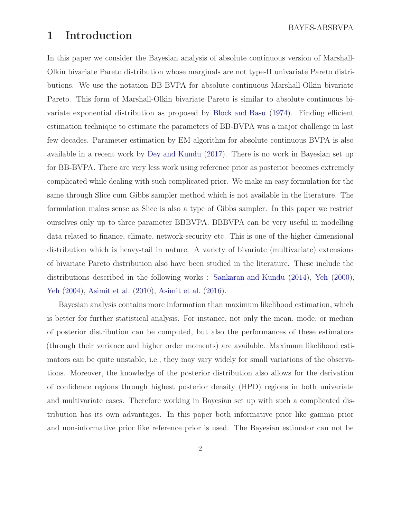BAYES-ABSBVPA

## <span id="page-1-0"></span>1 Introduction

In this paper we consider the Bayesian analysis of absolute continuous version of Marshall-Olkin bivariate Pareto distribution whose marginals are not type-II univariate Pareto distributions. We use the notation BB-BVPA for absolute continuous Marshall-Olkin bivariate Pareto. This form of Marshall-Olkin bivariate Pareto is similar to absolute continuous bivariate exponential distribution as proposed by [Block and Basu](#page-22-0) [\(1974](#page-22-0)). Finding efficient estimation technique to estimate the parameters of BB-BVPA was a major challenge in last few decades. Parameter estimation by EM algorithm for absolute continuous BVPA is also available in a recent work by [Dey and Kundu](#page-22-1) [\(2017](#page-22-1)). There is no work in Bayesian set up for BB-BVPA. There are very less work using reference prior as posterior becomes extremely complicated while dealing with such complicated prior. We make an easy formulation for the same through Slice cum Gibbs sampler method which is not available in the literature. The formulation makes sense as Slice is also a type of Gibbs sampler. In this paper we restrict ourselves only up to three parameter BBBVPA. BBBVPA can be very useful in modelling data related to finance, climate, network-security etc. This is one of the higher dimensional distribution which is heavy-tail in nature. A variety of bivariate (multivariate) extensions of bivariate Pareto distribution also have been studied in the literature. These include the distributions described in the following works : [Sankaran and Kundu](#page-23-0) [\(2014](#page-23-0)), [Yeh](#page-24-0) [\(2000\)](#page-24-0), [Yeh](#page-24-1) [\(2004\)](#page-24-1), [Asimit et al.](#page-21-0) [\(2010\)](#page-21-0), [Asimit et al.](#page-22-2) [\(2016](#page-22-2)).

Bayesian analysis contains more information than maximum likelihood estimation, which is better for further statistical analysis. For instance, not only the mean, mode, or median of posterior distribution can be computed, but also the performances of these estimators (through their variance and higher order moments) are available. Maximum likelihood estimators can be quite unstable, i.e., they may vary widely for small variations of the observations. Moreover, the knowledge of the posterior distribution also allows for the derivation of confidence regions through highest posterior density (HPD) regions in both univariate and multivariate cases. Therefore working in Bayesian set up with such a complicated distribution has its own advantages. In this paper both informative prior like gamma prior and non-informative prior like reference prior is used. The Bayesian estimator can not be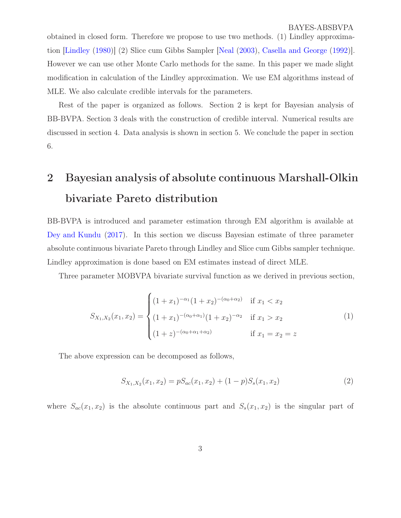<span id="page-2-0"></span>obtained in closed form. Therefore we propose to use two methods. (1) Lindley approximation [\[Lindley](#page-23-1) [\(1980](#page-23-1))] (2) Slice cum Gibbs Sampler [\[Neal](#page-23-2) [\(2003\)](#page-23-2), [Casella and George](#page-22-3) [\(1992](#page-22-3))]. However we can use other Monte Carlo methods for the same. In this paper we made slight modification in calculation of the Lindley approximation. We use EM algorithms instead of MLE. We also calculate credible intervals for the parameters.

Rest of the paper is organized as follows. Section 2 is kept for Bayesian analysis of BB-BVPA. Section 3 deals with the construction of credible interval. Numerical results are discussed in section 4. Data analysis is shown in section 5. We conclude the paper in section 6.

## 2 Bayesian analysis of absolute continuous Marshall-Olkin bivariate Pareto distribution

BB-BVPA is introduced and parameter estimation through EM algorithm is available at [Dey and Kundu](#page-22-1) [\(2017](#page-22-1)). In this section we discuss Bayesian estimate of three parameter absolute continuous bivariate Pareto through Lindley and Slice cum Gibbs sampler technique. Lindley approximation is done based on EM estimates instead of direct MLE.

Three parameter MOBVPA bivariate survival function as we derived in previous section,

$$
S_{X_1,X_2}(x_1,x_2) = \begin{cases} (1+x_1)^{-\alpha_1}(1+x_2)^{-(\alpha_0+\alpha_2)} & \text{if } x_1 < x_2\\ (1+x_1)^{-(\alpha_0+\alpha_1)}(1+x_2)^{-\alpha_2} & \text{if } x_1 > x_2\\ (1+z)^{-(\alpha_0+\alpha_1+\alpha_2)} & \text{if } x_1 = x_2 = z \end{cases}
$$
(1)

The above expression can be decomposed as follows,

$$
S_{X_1,X_2}(x_1,x_2) = pS_{ac}(x_1,x_2) + (1-p)S_s(x_1,x_2)
$$
\n(2)

where  $S_{ac}(x_1, x_2)$  is the absolute continuous part and  $S_s(x_1, x_2)$  is the singular part of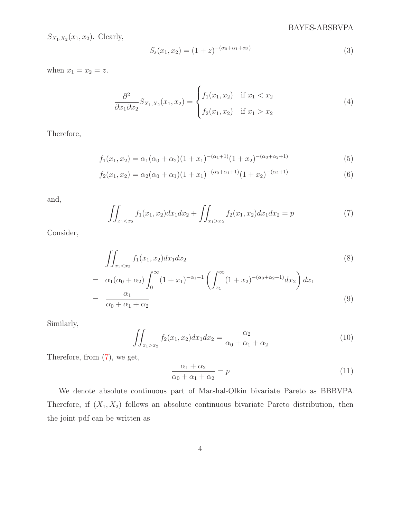#### BAYES-ABSBVPA

 $S_{X_1,X_2}(x_1,x_2)$ . Clearly,

$$
S_s(x_1, x_2) = (1+z)^{-(\alpha_0 + \alpha_1 + \alpha_2)}\tag{3}
$$

when  $x_1 = x_2 = z$ .

$$
\frac{\partial^2}{\partial x_1 \partial x_2} S_{X_1, X_2}(x_1, x_2) = \begin{cases} f_1(x_1, x_2) & \text{if } x_1 < x_2 \\ f_2(x_1, x_2) & \text{if } x_1 > x_2 \end{cases} \tag{4}
$$

Therefore,

$$
f_1(x_1, x_2) = \alpha_1(\alpha_0 + \alpha_2)(1 + x_1)^{-(\alpha_1 + 1)}(1 + x_2)^{-(\alpha_0 + \alpha_2 + 1)}
$$
(5)

$$
f_2(x_1, x_2) = \alpha_2(\alpha_0 + \alpha_1)(1 + x_1)^{-(\alpha_0 + \alpha_1 + 1)}(1 + x_2)^{-(\alpha_2 + 1)}
$$
(6)

and,

<span id="page-3-0"></span>
$$
\iint_{x_1 < x_2} f_1(x_1, x_2) dx_1 dx_2 + \iint_{x_1 > x_2} f_2(x_1, x_2) dx_1 dx_2 = p \tag{7}
$$

Consider,

$$
\iint_{x_1 < x_2} f_1(x_1, x_2) dx_1 dx_2
$$
\n
$$
= \alpha_1(\alpha_0 + \alpha_2) \int_0^\infty (1 + x_1)^{-\alpha_1 - 1} \left( \int_{x_1}^\infty (1 + x_2)^{-(\alpha_0 + \alpha_2 + 1)} dx_2 \right) dx_1
$$
\n
$$
= \frac{\alpha_1}{\alpha_0 + \alpha_1 + \alpha_2} \tag{9}
$$

Similarly,

$$
\iint_{x_1 > x_2} f_2(x_1, x_2) dx_1 dx_2 = \frac{\alpha_2}{\alpha_0 + \alpha_1 + \alpha_2} \tag{10}
$$

Therefore, from [\(7\)](#page-3-0), we get,

$$
\frac{\alpha_1 + \alpha_2}{\alpha_0 + \alpha_1 + \alpha_2} = p \tag{11}
$$

We denote absolute continuous part of Marshal-Olkin bivariate Pareto as BBBVPA. Therefore, if  $(X_1, X_2)$  follows an absolute continuous bivariate Pareto distribution, then the joint pdf can be written as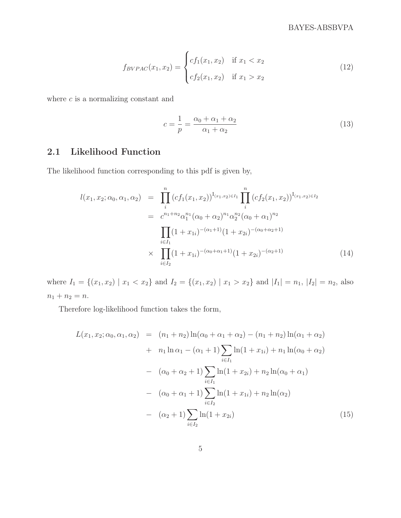$$
f_{BVPAC}(x_1, x_2) = \begin{cases} cf_1(x_1, x_2) & \text{if } x_1 < x_2 \\ cf_2(x_1, x_2) & \text{if } x_1 > x_2 \end{cases}
$$
 (12)

where  $c$  is a normalizing constant and

$$
c = \frac{1}{p} = \frac{\alpha_0 + \alpha_1 + \alpha_2}{\alpha_1 + \alpha_2} \tag{13}
$$

### 2.1 Likelihood Function

The likelihood function corresponding to this pdf is given by,

$$
l(x_1, x_2; \alpha_0, \alpha_1, \alpha_2) = \prod_{i}^{n} (cf_1(x_1, x_2))^{I_{(x_1, x_2) \in I_1}} \prod_{i}^{n} (cf_2(x_1, x_2))^{I_{(x_1, x_2) \in I_2}}
$$
  

$$
= c^{n_1+n_2} \alpha_1^{n_1} (\alpha_0 + \alpha_2)^{n_1} \alpha_2^{n_2} (\alpha_0 + \alpha_1)^{n_2}
$$
  

$$
\prod_{i \in I_1} (1 + x_{1i})^{-(\alpha_1 + 1)} (1 + x_{2i})^{-(\alpha_0 + \alpha_2 + 1)}
$$
  

$$
\times \prod_{i \in I_2} (1 + x_{1i})^{-(\alpha_0 + \alpha_1 + 1)} (1 + x_{2i})^{-(\alpha_2 + 1)}
$$
(14)

where  $I_1 = \{(x_1, x_2) | x_1 < x_2\}$  and  $I_2 = \{(x_1, x_2) | x_1 > x_2\}$  and  $|I_1| = n_1$ ,  $|I_2| = n_2$ , also  $n_1 + n_2 = n.$ 

Therefore log-likelihood function takes the form,

$$
L(x_1, x_2; \alpha_0, \alpha_1, \alpha_2) = (n_1 + n_2) \ln(\alpha_0 + \alpha_1 + \alpha_2) - (n_1 + n_2) \ln(\alpha_1 + \alpha_2)
$$
  
+  $n_1 \ln \alpha_1 - (\alpha_1 + 1) \sum_{i \in I_1} \ln(1 + x_{1i}) + n_1 \ln(\alpha_0 + \alpha_2)$   
-  $(\alpha_0 + \alpha_2 + 1) \sum_{i \in I_1} \ln(1 + x_{2i}) + n_2 \ln(\alpha_0 + \alpha_1)$   
-  $(\alpha_0 + \alpha_1 + 1) \sum_{i \in I_2} \ln(1 + x_{1i}) + n_2 \ln(\alpha_2)$   
-  $(\alpha_2 + 1) \sum_{i \in I_2} \ln(1 + x_{2i})$  (15)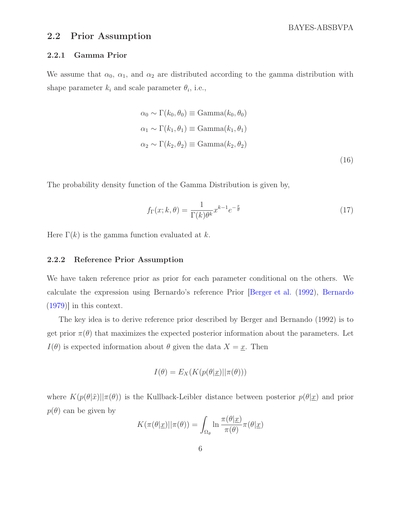BAYES-ABSBVPA

#### <span id="page-5-0"></span>2.2 Prior Assumption

#### 2.2.1 Gamma Prior

We assume that  $\alpha_0$ ,  $\alpha_1$ , and  $\alpha_2$  are distributed according to the gamma distribution with shape parameter  $k_i$  and scale parameter  $\theta_i$ , i.e.,

$$
\alpha_0 \sim \Gamma(k_0, \theta_0) \equiv \text{Gamma}(k_0, \theta_0)
$$
  
\n
$$
\alpha_1 \sim \Gamma(k_1, \theta_1) \equiv \text{Gamma}(k_1, \theta_1)
$$
  
\n
$$
\alpha_2 \sim \Gamma(k_2, \theta_2) \equiv \text{Gamma}(k_2, \theta_2)
$$
\n(16)

The probability density function of the Gamma Distribution is given by,

$$
f_{\Gamma}(x;k,\theta) = \frac{1}{\Gamma(k)\theta^k} x^{k-1} e^{-\frac{x}{\theta}}
$$
\n(17)

Here  $\Gamma(k)$  is the gamma function evaluated at k.

#### 2.2.2 Reference Prior Assumption

We have taken reference prior as prior for each parameter conditional on the others. We calculate the expression using Bernardo's reference Prior [\[Berger et al.](#page-22-4) [\(1992\)](#page-22-4), [Bernardo](#page-22-5) [\(1979\)](#page-22-5)] in this context.

The key idea is to derive reference prior described by Berger and Bernando (1992) is to get prior  $\pi(\theta)$  that maximizes the expected posterior information about the parameters. Let  $I(\theta)$  is expected information about  $\theta$  given the data  $X = \underline{x}$ . Then

$$
I(\theta) = E_X(K(p(\theta|\underline{x})||\pi(\theta)))
$$

where  $K(p(\theta|\tilde{x})||\pi(\theta))$  is the Kullback-Leibler distance between posterior  $p(\theta|x)$  and prior  $p(\theta)$  can be given by

$$
K(\pi(\theta|\underline{x})||\pi(\theta)) = \int_{\Omega_{\theta}} \ln \frac{\pi(\theta|\underline{x})}{\pi(\theta)} \pi(\theta|\underline{x})
$$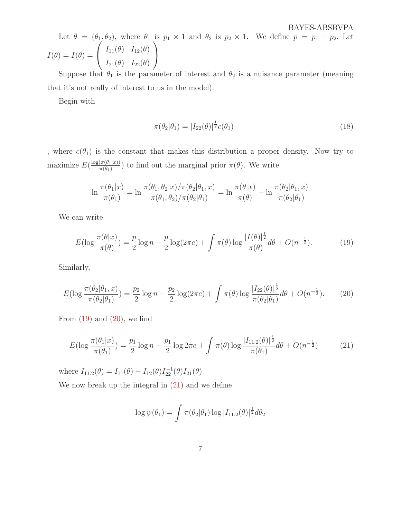Let  $\theta = (\theta_1, \theta_2)$ , where  $\theta_1$  is  $p_1 \times 1$  and  $\theta_2$  is  $p_2 \times 1$ . We define  $p = p_1 + p_2$ . Let  $I(\theta) = I(\theta) =$  $\sqrt{ }$  $\overline{1}$  $I_{11}(\theta)$   $I_{12}(\theta)$  $I_{21}(\theta)$   $I_{22}(\theta)$  $\setminus$  $\overline{1}$ 

Suppose that  $\theta_1$  is the parameter of interest and  $\theta_2$  is a nuisance parameter (meaning that it's not really of interest to us in the model).

Begin with

$$
\pi(\theta_2|\theta_1) = |I_{22}(\theta)|^{\frac{1}{2}}c(\theta_1)
$$
\n(18)

, where  $c(\theta_1)$  is the constant that makes this distribution a proper density. Now try to maximize  $E(\frac{\log(\pi(\theta_1|x))}{\pi(\theta_1)}$  $(\frac{\pi(\theta_1|x)}{\pi(\theta_1)})$  to find out the marginal prior  $\pi(\theta)$ . We write

$$
\ln \frac{\pi(\theta_1|x)}{\pi(\theta_1)} = \ln \frac{\pi(\theta_1, \theta_2|x)/\pi(\theta_2|\theta_1, x)}{\pi(\theta_1, \theta_2)/\pi(\theta_2|\theta_1)} = \ln \frac{\pi(\theta|x)}{\pi(\theta)} - \ln \frac{\pi(\theta_2|\theta_1, x)}{\pi(\theta_2|\theta_1)}
$$

We can write

<span id="page-6-0"></span>
$$
E(\log \frac{\pi(\theta|x)}{\pi(\theta)}) = \frac{p}{2}\log n - \frac{p}{2}\log(2\pi e) + \int \pi(\theta)\log \frac{|I(\theta)|^{\frac{1}{2}}}{\pi(\theta)}d\theta + O(n^{-\frac{1}{2}}). \tag{19}
$$

Similarly,

<span id="page-6-1"></span>
$$
E(\log \frac{\pi(\theta_2|\theta_1, x)}{\pi(\theta_2|\theta_1)}) = \frac{p_2}{2}\log n - \frac{p_2}{2}\log(2\pi e) + \int \pi(\theta)\log \frac{|I_{22}(\theta)|^{\frac{1}{2}}}{\pi(\theta_2|\theta_1)}d\theta + O(n^{-\frac{1}{2}}). \tag{20}
$$

From  $(19)$  and  $(20)$ , we find

<span id="page-6-2"></span>
$$
E(\log \frac{\pi(\theta_1|x)}{\pi(\theta_1)}) = \frac{p_1}{2}\log n - \frac{p_1}{2}\log 2\pi e + \int \pi(\theta) \log \frac{|I_{11.2}(\theta)|^{\frac{1}{2}}}{\pi(\theta_1)} d\theta + O(n^{-\frac{1}{2}})
$$
(21)

where  $I_{11.2}(\theta) = I_{11}(\theta) - I_{12}(\theta)I_{22}^{-1}(\theta)I_{21}(\theta)$ 

We now break up the integral in  $(21)$  and we define

$$
\log \psi(\theta_1) = \int \pi(\theta_2|\theta_1) \log |I_{11.2}(\theta)|^{\frac{1}{2}} d\theta_2
$$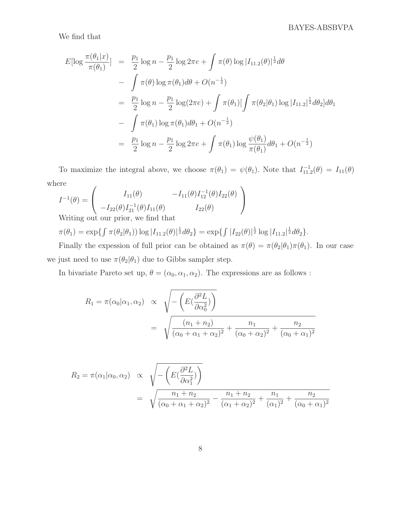We find that

$$
E[\log \frac{\pi(\theta_1|x)}{\pi(\theta_1)}] = \frac{p_1}{2} \log n - \frac{p_1}{2} \log 2\pi e + \int \pi(\theta) \log |I_{11,2}(\theta)|^{\frac{1}{2}} d\theta
$$
  

$$
- \int \pi(\theta) \log \pi(\theta_1) d\theta + O(n^{-\frac{1}{2}})
$$
  

$$
= \frac{p_1}{2} \log n - \frac{p_1}{2} \log(2\pi e) + \int \pi(\theta_1) [\int \pi(\theta_2|\theta_1) \log |I_{11,2}|^{\frac{1}{2}} d\theta_2] d\theta_1
$$
  

$$
- \int \pi(\theta_1) \log \pi(\theta_1) d\theta_1 + O(n^{-\frac{1}{2}})
$$
  

$$
= \frac{p_1}{2} \log n - \frac{p_1}{2} \log 2\pi e + \int \pi(\theta_1) \log \frac{\psi(\theta_1)}{\pi(\theta_1)} d\theta_1 + O(n^{-\frac{1}{2}})
$$

To maximize the integral above, we choose  $\pi(\theta_1) = \psi(\theta_1)$ . Note that  $I_{11,2}^{-1}(\theta) = I_{11}(\theta)$ where

$$
I^{-1}(\theta) = \begin{pmatrix} I_{11}(\theta) & -I_{11}(\theta)I_{12}^{-1}(\theta)I_{22}(\theta) \\ -I_{22}(\theta)I_{21}^{-1}(\theta)I_{11}(\theta) & I_{22}(\theta) \end{pmatrix}
$$
  
\n
$$
W_{\text{Pitting out our prior, we find that}}
$$

Writing out our prior, we find that

 $\pi(\theta_1) = \exp\{\int \pi(\theta_2|\theta_1)) \log |I_{11.2}(\theta)|^{\frac{1}{2}} d\theta_2\} = \exp\{\int |I_{22}(\theta)|^{\frac{1}{2}} \log |I_{11.2}|^{\frac{1}{2}} d\theta_2\}.$ 

Finally the expession of full prior can be obtained as  $\pi(\theta) = \pi(\theta_2|\theta_1)\pi(\theta_1)$ . In our case we just need to use  $\pi(\theta_2|\theta_1)$  due to Gibbs sampler step.

In bivariate Pareto set up,  $\theta = (\alpha_0, \alpha_1, \alpha_2)$ . The expressions are as follows :

$$
R_1 = \pi(\alpha_0|\alpha_1, \alpha_2) \propto \sqrt{-\left(E(\frac{\partial^2 L}{\partial \alpha_0^2})\right)}
$$
  
= 
$$
\sqrt{\frac{(n_1 + n_2)}{(\alpha_0 + \alpha_1 + \alpha_2)^2} + \frac{n_1}{(\alpha_0 + \alpha_2)^2} + \frac{n_2}{(\alpha_0 + \alpha_1)^2}}
$$

$$
R_2 = \pi(\alpha_1 | \alpha_0, \alpha_2) \propto \sqrt{-\left(E(\frac{\partial^2 L}{\partial \alpha_1^2})\right)}
$$
  
=  $\sqrt{\frac{n_1 + n_2}{(\alpha_0 + \alpha_1 + \alpha_2)^2} - \frac{n_1 + n_2}{(\alpha_1 + \alpha_2)^2} + \frac{n_1}{(\alpha_1)^2} + \frac{n_2}{(\alpha_0 + \alpha_1)^2}}$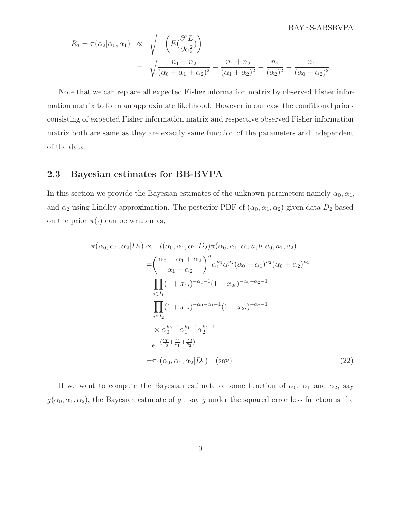$$
R_3 = \pi(\alpha_2 | \alpha_0, \alpha_1) \propto \sqrt{-\left(E(\frac{\partial^2 L}{\partial \alpha_2^2})\right)}
$$
  
= 
$$
\sqrt{\frac{n_1 + n_2}{(\alpha_0 + \alpha_1 + \alpha_2)^2} - \frac{n_1 + n_2}{(\alpha_1 + \alpha_2)^2} + \frac{n_2}{(\alpha_2)^2} + \frac{n_1}{(\alpha_0 + \alpha_2)^2}}
$$

Note that we can replace all expected Fisher information matrix by observed Fisher information matrix to form an approximate likelihood. However in our case the conditional priors consisting of expected Fisher information matrix and respective observed Fisher information matrix both are same as they are exactly same function of the parameters and independent of the data.

#### 2.3 Bayesian estimates for BB-BVPA

In this section we provide the Bayesian estimates of the unknown parameters namely  $\alpha_0, \alpha_1$ , and  $\alpha_2$  using Lindley approximation. The posterior PDF of  $(\alpha_0, \alpha_1, \alpha_2)$  given data  $D_2$  based on the prior  $\pi(\cdot)$  can be written as,

$$
\pi(\alpha_0, \alpha_1, \alpha_2 | D_2) \propto l(\alpha_0, \alpha_1, \alpha_2 | D_2) \pi(\alpha_0, \alpha_1, \alpha_2 | a, b, a_0, a_1, a_2)
$$
\n
$$
= \left(\frac{\alpha_0 + \alpha_1 + \alpha_2}{\alpha_1 + \alpha_2}\right)^n \alpha_1^{n_1} \alpha_2^{n_2} (\alpha_0 + \alpha_1)^{n_2} (\alpha_0 + \alpha_2)^{n_1}
$$
\n
$$
\prod_{i \in I_1} (1 + x_{1i})^{-\alpha_1 - 1} (1 + x_{2i})^{-\alpha_0 - \alpha_2 - 1}
$$
\n
$$
\prod_{i \in I_2} (1 + x_{1i})^{-\alpha_0 - \alpha_1 - 1} (1 + x_{2i})^{-\alpha_2 - 1}
$$
\n
$$
\times \alpha_0^{k_0 - 1} \alpha_1^{k_1 - 1} \alpha_2^{k_2 - 1}
$$
\n
$$
e^{-(\frac{\alpha_0}{\theta_0} + \frac{\alpha_1}{\theta_1} + \frac{\alpha_2}{\theta_2})}
$$
\n
$$
= \pi_1(\alpha_0, \alpha_1, \alpha_2 | D_2) \quad \text{(say)}
$$
\n(22)

If we want to compute the Bayesian estimate of some function of  $\alpha_0$ ,  $\alpha_1$  and  $\alpha_2$ , say  $g(\alpha_0, \alpha_1, \alpha_2)$ , the Bayesian estimate of g, say  $\hat{g}$  under the squared error loss function is the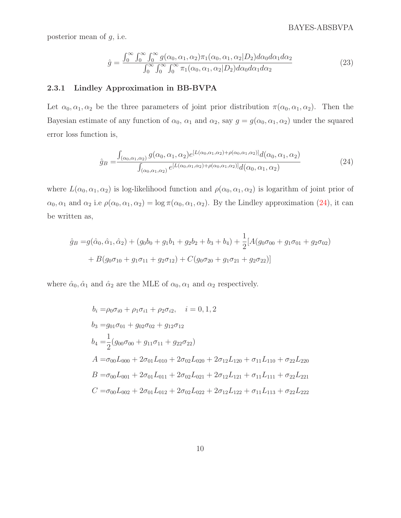posterior mean of  $g$ , i.e.

$$
\hat{g} = \frac{\int_0^\infty \int_0^\infty \int_0^\infty g(\alpha_0, \alpha_1, \alpha_2) \pi_1(\alpha_0, \alpha_1, \alpha_2 | D_2) d\alpha_0 d\alpha_1 d\alpha_2}{\int_0^\infty \int_0^\infty \int_0^\infty \pi_1(\alpha_0, \alpha_1, \alpha_2 | D_2) d\alpha_0 d\alpha_1 d\alpha_2}
$$
\n(23)

#### 2.3.1 Lindley Approximation in BB-BVPA

Let  $\alpha_0, \alpha_1, \alpha_2$  be the three parameters of joint prior distribution  $\pi(\alpha_0, \alpha_1, \alpha_2)$ . Then the Bayesian estimate of any function of  $\alpha_0$ ,  $\alpha_1$  and  $\alpha_2$ , say  $g = g(\alpha_0, \alpha_1, \alpha_2)$  under the squared error loss function is,

<span id="page-9-0"></span>
$$
\hat{g}_B = \frac{\int_{(\alpha_0, \alpha_1, \alpha_2)} g(\alpha_0, \alpha_1, \alpha_2) e^{[L(\alpha_0, \alpha_1, \alpha_2) + \rho(\alpha_0, \alpha_1, \alpha_2)]} d(\alpha_0, \alpha_1, \alpha_2)}{\int_{(\alpha_0, \alpha_1, \alpha_2)} e^{[L(\alpha_0, \alpha_1, \alpha_2) + \rho(\alpha_0, \alpha_1, \alpha_2)]} d(\alpha_0, \alpha_1, \alpha_2)}
$$
(24)

where  $L(\alpha_0, \alpha_1, \alpha_2)$  is log-likelihood function and  $\rho(\alpha_0, \alpha_1, \alpha_2)$  is logarithm of joint prior of  $\alpha_0, \alpha_1$  and  $\alpha_2$  i.e  $\rho(\alpha_0, \alpha_1, \alpha_2) = \log \pi(\alpha_0, \alpha_1, \alpha_2)$ . By the Lindley approximation [\(24\)](#page-9-0), it can be written as,

$$
\hat{g}_B = g(\hat{\alpha}_0, \hat{\alpha}_1, \hat{\alpha}_2) + (g_0b_0 + g_1b_1 + g_2b_2 + b_3 + b_4) + \frac{1}{2}[A(g_0\sigma_{00} + g_1\sigma_{01} + g_2\sigma_{02})
$$

$$
+ B(g_0\sigma_{10} + g_1\sigma_{11} + g_2\sigma_{12}) + C(g_0\sigma_{20} + g_1\sigma_{21} + g_2\sigma_{22})]
$$

where  $\hat{\alpha}_0, \hat{\alpha}_1$  and  $\hat{\alpha}_2$  are the MLE of  $\alpha_0, \alpha_1$  and  $\alpha_2$  respectively.

$$
b_i = \rho_0 \sigma_{i0} + \rho_1 \sigma_{i1} + \rho_2 \sigma_{i2}, \quad i = 0, 1, 2
$$
  
\n
$$
b_3 = g_{01} \sigma_{01} + g_{02} \sigma_{02} + g_{12} \sigma_{12}
$$
  
\n
$$
b_4 = \frac{1}{2} (g_{00} \sigma_{00} + g_{11} \sigma_{11} + g_{22} \sigma_{22})
$$
  
\n
$$
A = \sigma_{00} L_{000} + 2 \sigma_{01} L_{010} + 2 \sigma_{02} L_{020} + 2 \sigma_{12} L_{120} + \sigma_{11} L_{110} + \sigma_{22} L_{220}
$$
  
\n
$$
B = \sigma_{00} L_{001} + 2 \sigma_{01} L_{011} + 2 \sigma_{02} L_{021} + 2 \sigma_{12} L_{121} + \sigma_{11} L_{111} + \sigma_{22} L_{221}
$$
  
\n
$$
C = \sigma_{00} L_{002} + 2 \sigma_{01} L_{012} + 2 \sigma_{02} L_{022} + 2 \sigma_{12} L_{122} + \sigma_{11} L_{113} + \sigma_{22} L_{222}
$$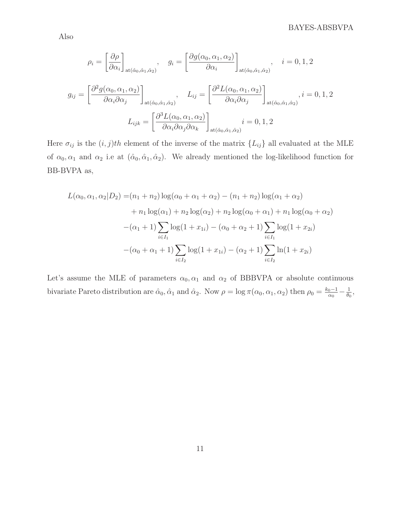#### BAYES-ABSBVPA

Also

$$
\rho_i = \left[\frac{\partial \rho}{\partial \alpha_i}\right]_{\text{at}(\hat{\alpha}_0, \hat{\alpha}_1, \hat{\alpha}_2)}, \quad g_i = \left[\frac{\partial g(\alpha_0, \alpha_1, \alpha_2)}{\partial \alpha_i}\right]_{\text{at}(\hat{\alpha}_0, \hat{\alpha}_1, \hat{\alpha}_2)}, \quad i = 0, 1, 2
$$

$$
g_{ij} = \left[\frac{\partial^2 g(\alpha_0, \alpha_1, \alpha_2)}{\partial \alpha_i \partial \alpha_j}\right]_{\text{at}(\hat{\alpha}_0, \hat{\alpha}_1, \hat{\alpha}_2)}, \quad L_{ij} = \left[\frac{\partial^2 L(\alpha_0, \alpha_1, \alpha_2)}{\partial \alpha_i \partial \alpha_j}\right]_{\text{at}(\hat{\alpha}_0, \hat{\alpha}_1, \hat{\alpha}_2)}, i = 0, 1, 2
$$

$$
L_{ijk} = \left[\frac{\partial^3 L(\alpha_0, \alpha_1, \alpha_2)}{\partial \alpha_i \partial \alpha_j \partial \alpha_k}\right]_{\text{at}(\hat{\alpha}_0, \hat{\alpha}_1, \hat{\alpha}_2)} i = 0, 1, 2
$$

Here  $\sigma_{ij}$  is the  $(i, j)$ th element of the inverse of the matrix  $\{L_{ij}\}\$ all evaluated at the MLE of  $\alpha_0, \alpha_1$  and  $\alpha_2$  i.e at  $(\hat{\alpha}_0, \hat{\alpha}_1, \hat{\alpha}_2)$ . We already mentioned the log-likelihood function for BB-BVPA as,

$$
L(\alpha_0, \alpha_1, \alpha_2 | D_2) = (n_1 + n_2) \log(\alpha_0 + \alpha_1 + \alpha_2) - (n_1 + n_2) \log(\alpha_1 + \alpha_2)
$$
  
+ 
$$
n_1 \log(\alpha_1) + n_2 \log(\alpha_2) + n_2 \log(\alpha_0 + \alpha_1) + n_1 \log(\alpha_0 + \alpha_2)
$$
  
-
$$
(\alpha_1 + 1) \sum_{i \in I_1} \log(1 + x_{1i}) - (\alpha_0 + \alpha_2 + 1) \sum_{i \in I_1} \log(1 + x_{2i})
$$
  
-
$$
(\alpha_0 + \alpha_1 + 1) \sum_{i \in I_2} \log(1 + x_{1i}) - (\alpha_2 + 1) \sum_{i \in I_2} \ln(1 + x_{2i})
$$

Let's assume the MLE of parameters  $\alpha_0, \alpha_1$  and  $\alpha_2$  of BBBVPA or absolute continuous bivariate Pareto distribution are  $\hat{\alpha}_0$ ,  $\hat{\alpha}_1$  and  $\hat{\alpha}_2$ . Now  $\rho = \log \pi(\alpha_0, \alpha_1, \alpha_2)$  then  $\rho_0 = \frac{k_0 - 1}{\alpha_0}$  $\frac{1}{\alpha_0}-\frac{1}{\theta_0}$  $\frac{1}{\theta_0}$ ,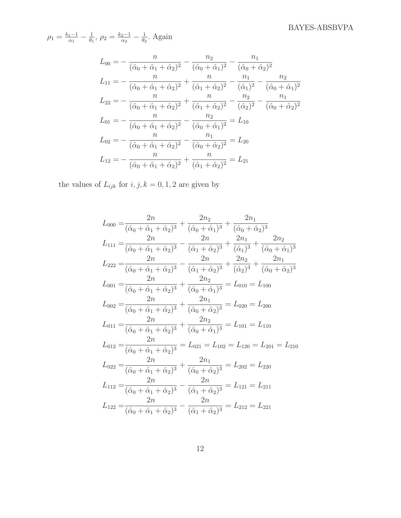$\rho_1 = \frac{k_1 - 1}{\alpha_1}$  $\frac{1-1}{\alpha_1}-\frac{1}{\theta_1}$  $\frac{1}{\theta_1}, \rho_2 = \frac{k_2-1}{\alpha_2}$  $\frac{2-1}{\alpha_2}-\frac{1}{\theta_2}$  $\frac{1}{\theta_2}$ . Again

$$
L_{00} = -\frac{n}{(\hat{\alpha}_0 + \hat{\alpha}_1 + \hat{\alpha}_2)^2} - \frac{n_2}{(\hat{\alpha}_0 + \hat{\alpha}_1)^2} - \frac{n_1}{(\hat{\alpha}_0 + \hat{\alpha}_2)^2}
$$
  
\n
$$
L_{11} = -\frac{n}{(\hat{\alpha}_0 + \hat{\alpha}_1 + \hat{\alpha}_2)^2} + \frac{n}{(\hat{\alpha}_1 + \hat{\alpha}_2)^2} - \frac{n_1}{(\hat{\alpha}_1)^2} - \frac{n_2}{(\hat{\alpha}_0 + \hat{\alpha}_1)^2}
$$
  
\n
$$
L_{22} = -\frac{n}{(\hat{\alpha}_0 + \hat{\alpha}_1 + \hat{\alpha}_2)^2} + \frac{n}{(\hat{\alpha}_1 + \hat{\alpha}_2)^2} - \frac{n_2}{(\hat{\alpha}_2)^2} - \frac{n_1}{(\hat{\alpha}_0 + \hat{\alpha}_2)^2}
$$
  
\n
$$
L_{01} = -\frac{n}{(\hat{\alpha}_0 + \hat{\alpha}_1 + \hat{\alpha}_2)^2} - \frac{n_2}{(\hat{\alpha}_0 + \hat{\alpha}_1)^2} = L_{10}
$$
  
\n
$$
L_{02} = -\frac{n}{(\hat{\alpha}_0 + \hat{\alpha}_1 + \hat{\alpha}_2)^2} - \frac{n_1}{(\hat{\alpha}_0 + \hat{\alpha}_2)^2} = L_{20}
$$
  
\n
$$
L_{12} = -\frac{n}{(\hat{\alpha}_0 + \hat{\alpha}_1 + \hat{\alpha}_2)^2} + \frac{n}{(\hat{\alpha}_1 + \hat{\alpha}_2)^2} = L_{21}
$$

the values of  ${\cal L}_{ijk}$  for  $i,j,k=0,1,2$  are given by

$$
L_{000} = \frac{2n}{(\hat{\alpha}_0 + \hat{\alpha}_1 + \hat{\alpha}_2)^3} + \frac{2n_2}{(\hat{\alpha}_0 + \hat{\alpha}_1)^3} + \frac{2n_1}{(\hat{\alpha}_0 + \hat{\alpha}_2)^3}
$$
  
\n
$$
L_{111} = \frac{2n}{(\hat{\alpha}_0 + \hat{\alpha}_1 + \hat{\alpha}_2)^3} - \frac{2n}{(\hat{\alpha}_1 + \hat{\alpha}_2)^3} + \frac{2n_1}{(\hat{\alpha}_1)^3} + \frac{2n_2}{(\hat{\alpha}_0 + \hat{\alpha}_1)^3}
$$
  
\n
$$
L_{222} = \frac{2n}{(\hat{\alpha}_0 + \hat{\alpha}_1 + \hat{\alpha}_2)^3} - \frac{2n}{(\hat{\alpha}_1 + \hat{\alpha}_2)^3} + \frac{2n_2}{(\hat{\alpha}_2)^3} + \frac{2n_1}{(\hat{\alpha}_0 + \hat{\alpha}_2)^3}
$$
  
\n
$$
L_{001} = \frac{2n}{(\hat{\alpha}_0 + \hat{\alpha}_1 + \hat{\alpha}_2)^3} + \frac{2n_2}{(\hat{\alpha}_0 + \hat{\alpha}_1)^3} = L_{010} = L_{100}
$$
  
\n
$$
L_{002} = \frac{2n}{(\hat{\alpha}_0 + \hat{\alpha}_1 + \hat{\alpha}_2)^3} + \frac{2n_1}{(\hat{\alpha}_0 + \hat{\alpha}_2)^3} = L_{020} = L_{200}
$$
  
\n
$$
L_{011} = \frac{2n}{(\hat{\alpha}_0 + \hat{\alpha}_1 + \hat{\alpha}_2)^3} + \frac{2n_2}{(\hat{\alpha}_0 + \hat{\alpha}_1)^3} = L_{101} = L_{110}
$$
  
\n
$$
L_{012} = \frac{2n}{(\hat{\alpha}_0 + \hat{\alpha}_1 + \hat{\alpha}_2)^3} = L_{021} = L_{102} = L_{201} = L_{201} = L_{210}
$$
  
\n
$$
L_{022} = \frac{2n}{(\hat{\alpha}_0 + \hat{\alpha}_1 + \hat{\alpha}_2)^3} + \frac{2n_1}{(\hat{\alpha}_0 + \hat{\alpha}_2)^3} = L_{202} = L_{220}
$$
  
\n
$$
L_{112} = \frac{
$$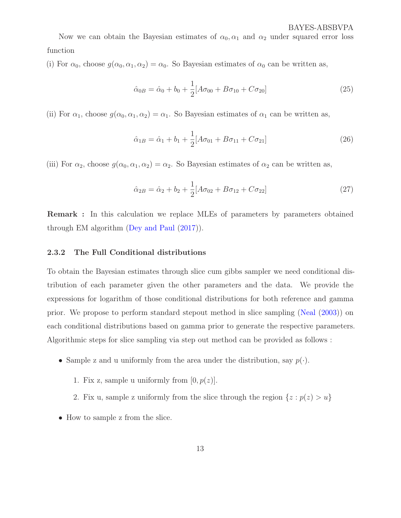<span id="page-12-0"></span>Now we can obtain the Bayesian estimates of  $\alpha_0, \alpha_1$  and  $\alpha_2$  under squared error loss function

(i) For  $\alpha_0$ , choose  $g(\alpha_0, \alpha_1, \alpha_2) = \alpha_0$ . So Bayesian estimates of  $\alpha_0$  can be written as,

$$
\hat{\alpha}_{0B} = \hat{\alpha}_0 + b_0 + \frac{1}{2} [A\sigma_{00} + B\sigma_{10} + C\sigma_{20}]
$$
\n(25)

(ii) For  $\alpha_1$ , choose  $g(\alpha_0, \alpha_1, \alpha_2) = \alpha_1$ . So Bayesian estimates of  $\alpha_1$  can be written as,

$$
\hat{\alpha}_{1B} = \hat{\alpha}_1 + b_1 + \frac{1}{2} [A\sigma_{01} + B\sigma_{11} + C\sigma_{21}]
$$
\n(26)

(iii) For  $\alpha_2$ , choose  $g(\alpha_0, \alpha_1, \alpha_2) = \alpha_2$ . So Bayesian estimates of  $\alpha_2$  can be written as,

$$
\hat{\alpha}_{2B} = \hat{\alpha}_2 + b_2 + \frac{1}{2} [A\sigma_{02} + B\sigma_{12} + C\sigma_{22}]
$$
\n(27)

Remark : In this calculation we replace MLEs of parameters by parameters obtained through EM algorithm [\(Dey and Paul](#page-22-6) [\(2017\)](#page-22-6)).

#### 2.3.2 The Full Conditional distributions

To obtain the Bayesian estimates through slice cum gibbs sampler we need conditional distribution of each parameter given the other parameters and the data. We provide the expressions for logarithm of those conditional distributions for both reference and gamma prior. We propose to perform standard stepout method in slice sampling [\(Neal](#page-23-2) [\(2003](#page-23-2))) on each conditional distributions based on gamma prior to generate the respective parameters. Algorithmic steps for slice sampling via step out method can be provided as follows :

- Sample z and u uniformly from the area under the distribution, say  $p(\cdot)$ .
	- 1. Fix z, sample u uniformly from  $[0, p(z)]$ .
	- 2. Fix u, sample z uniformly from the slice through the region  $\{z : p(z) > u\}$
- How to sample z from the slice.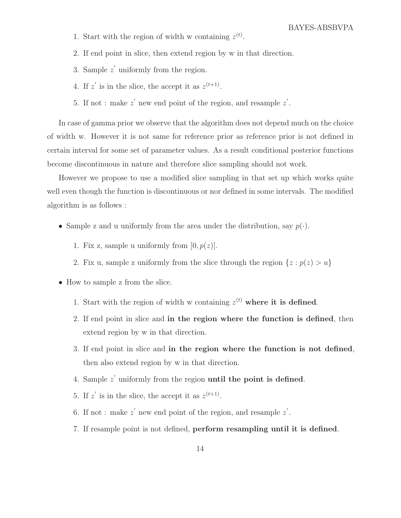- 1. Start with the region of width w containing  $z^{(t)}$ .
- 2. If end point in slice, then extend region by w in that direction.
- 3. Sample  $z'$  uniformly from the region.
- 4. If z' is in the slice, the accept it as  $z^{(t+1)}$ .
- 5. If not : make  $z'$  new end point of the region, and resample  $z'$ .

In case of gamma prior we observe that the algorithm does not depend much on the choice of width w. However it is not same for reference prior as reference prior is not defined in certain interval for some set of parameter values. As a result conditional posterior functions become discontinuous in nature and therefore slice sampling should not work.

However we propose to use a modified slice sampling in that set up which works quite well even though the function is discontinuous or nor defined in some intervals. The modified algorithm is as follows :

- Sample z and u uniformly from the area under the distribution, say  $p(\cdot)$ .
	- 1. Fix z, sample u uniformly from  $[0, p(z)]$ .
	- 2. Fix u, sample z uniformly from the slice through the region  $\{z : p(z) > u\}$
- How to sample z from the slice.
	- 1. Start with the region of width w containing  $z^{(t)}$  where it is defined.
	- 2. If end point in slice and in the region where the function is defined, then extend region by w in that direction.
	- 3. If end point in slice and in the region where the function is not defined, then also extend region by w in that direction.
	- 4. Sample  $z'$  uniformly from the region until the point is defined.
	- 5. If  $z'$  is in the slice, the accept it as  $z^{(t+1)}$ .
	- 6. If not : make  $z'$  new end point of the region, and resample  $z'$ .
	- 7. If resample point is not defined, perform resampling until it is defined.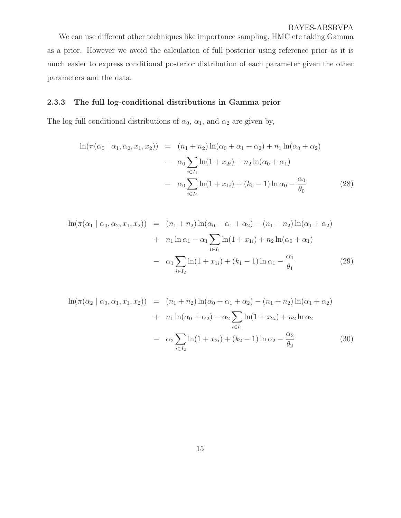We can use different other techniques like importance sampling, HMC etc taking Gamma as a prior. However we avoid the calculation of full posterior using reference prior as it is much easier to express conditional posterior distribution of each parameter given the other parameters and the data.

#### 2.3.3 The full log-conditional distributions in Gamma prior

The log full conditional distributions of  $\alpha_0$ ,  $\alpha_1$ , and  $\alpha_2$  are given by,

$$
\ln(\pi(\alpha_0 \mid \alpha_1, \alpha_2, x_1, x_2)) = (n_1 + n_2) \ln(\alpha_0 + \alpha_1 + \alpha_2) + n_1 \ln(\alpha_0 + \alpha_2)
$$

$$
- \alpha_0 \sum_{i \in I_1} \ln(1 + x_{2i}) + n_2 \ln(\alpha_0 + \alpha_1)
$$

$$
- \alpha_0 \sum_{i \in I_2} \ln(1 + x_{1i}) + (k_0 - 1) \ln \alpha_0 - \frac{\alpha_0}{\theta_0}
$$
(28)

$$
\ln(\pi(\alpha_1 \mid \alpha_0, \alpha_2, x_1, x_2)) = (n_1 + n_2) \ln(\alpha_0 + \alpha_1 + \alpha_2) - (n_1 + n_2) \ln(\alpha_1 + \alpha_2)
$$
  
+ 
$$
n_1 \ln \alpha_1 - \alpha_1 \sum_{i \in I_1} \ln(1 + x_{1i}) + n_2 \ln(\alpha_0 + \alpha_1)
$$
  
- 
$$
\alpha_1 \sum_{i \in I_2} \ln(1 + x_{1i}) + (k_1 - 1) \ln \alpha_1 - \frac{\alpha_1}{\theta_1}
$$
 (29)

$$
\ln(\pi(\alpha_2 \mid \alpha_0, \alpha_1, x_1, x_2)) = (n_1 + n_2) \ln(\alpha_0 + \alpha_1 + \alpha_2) - (n_1 + n_2) \ln(\alpha_1 + \alpha_2)
$$
  
+ 
$$
n_1 \ln(\alpha_0 + \alpha_2) - \alpha_2 \sum_{i \in I_1} \ln(1 + x_{2i}) + n_2 \ln \alpha_2
$$
  
- 
$$
\alpha_2 \sum_{i \in I_2} \ln(1 + x_{2i}) + (k_2 - 1) \ln \alpha_2 - \frac{\alpha_2}{\theta_2}
$$
(30)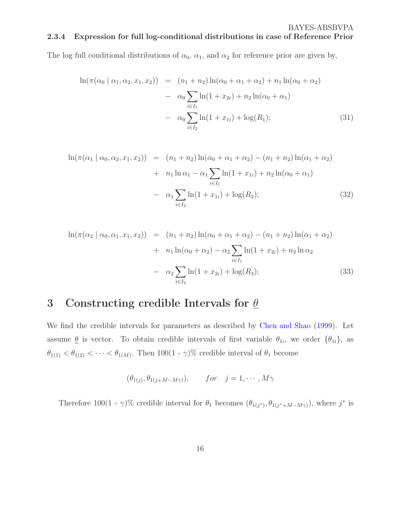<span id="page-15-0"></span>The log full conditional distributions of  $\alpha_0$ ,  $\alpha_1$ , and  $\alpha_2$  for reference prior are given by,

$$
\ln(\pi(\alpha_0 \mid \alpha_1, \alpha_2, x_1, x_2)) = (n_1 + n_2) \ln(\alpha_0 + \alpha_1 + \alpha_2) + n_1 \ln(\alpha_0 + \alpha_2)
$$

$$
- \alpha_0 \sum_{i \in I_1} \ln(1 + x_{2i}) + n_2 \ln(\alpha_0 + \alpha_1)
$$

$$
- \alpha_0 \sum_{i \in I_2} \ln(1 + x_{1i}) + \log(R_1); \tag{31}
$$

$$
\ln(\pi(\alpha_1 \mid \alpha_0, \alpha_2, x_1, x_2)) = (n_1 + n_2) \ln(\alpha_0 + \alpha_1 + \alpha_2) - (n_1 + n_2) \ln(\alpha_1 + \alpha_2)
$$
  
+  $n_1 \ln \alpha_1 - \alpha_1 \sum_{i \in I_1} \ln(1 + x_{1i}) + n_2 \ln(\alpha_0 + \alpha_1)$   
-  $\alpha_1 \sum_{i \in I_2} \ln(1 + x_{1i}) + \log(R_2);$  (32)

$$
\ln(\pi(\alpha_2 \mid \alpha_0, \alpha_1, x_1, x_2)) = (n_1 + n_2) \ln(\alpha_0 + \alpha_1 + \alpha_2) - (n_1 + n_2) \ln(\alpha_1 + \alpha_2)
$$
  
+ 
$$
n_1 \ln(\alpha_0 + \alpha_2) - \alpha_2 \sum_{i \in I_1} \ln(1 + x_{2i}) + n_2 \ln \alpha_2
$$
  
- 
$$
\alpha_2 \sum_{i \in I_2} \ln(1 + x_{2i}) + \log(R_3);
$$
 (33)

## 3 Constructing credible Intervals for  $\theta$

We find the credible intervals for parameters as described by [Chen and Shao](#page-22-7) [\(1999](#page-22-7)). Let assume  $\underline{\theta}$  is vector. To obtain credible intervals of first variable  $\theta_{1i}$ , we order  $\{\theta_{1i}\}\$ , as  $\theta_{1(1)} < \theta_{1(2)} < \cdots < \theta_{1(M)}$ . Then  $100(1 - \gamma)\%$  credible interval of  $\theta_1$  become

$$
(\theta_{1(j)}, \theta_{1(j+M-M\gamma)}), \qquad for \quad j=1,\cdots,M\gamma
$$

Therefore 100(1 -  $\gamma$ )% credible interval for  $\theta_1$  becomes  $(\theta_{1(j^*)}, \theta_{1(j^*+M-M\gamma)})$ , where  $j^*$  is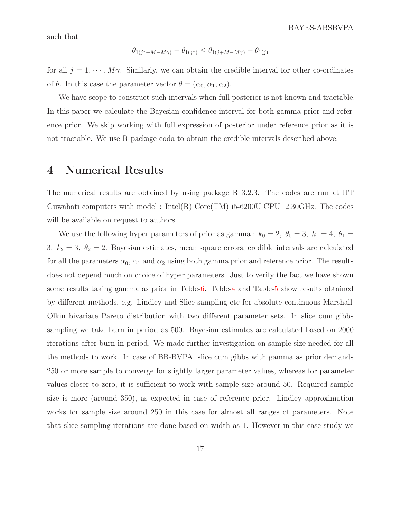such that

$$
\theta_{1(j^* + M - M\gamma)} - \theta_{1(j^*)} \le \theta_{1(j + M - M\gamma)} - \theta_{1(j)}
$$

for all  $j = 1, \dots, M\gamma$ . Similarly, we can obtain the credible interval for other co-ordinates of  $\theta$ . In this case the parameter vector  $\theta = (\alpha_0, \alpha_1, \alpha_2)$ .

We have scope to construct such intervals when full posterior is not known and tractable. In this paper we calculate the Bayesian confidence interval for both gamma prior and reference prior. We skip working with full expression of posterior under reference prior as it is not tractable. We use R package coda to obtain the credible intervals described above.

## 4 Numerical Results

The numerical results are obtained by using package R 3.2.3. The codes are run at IIT Guwahati computers with model : Intel(R)  $Core(TM)$  i5-6200U CPU 2.30GHz. The codes will be available on request to authors.

We use the following hyper parameters of prior as gamma :  $k_0 = 2$ ,  $\theta_0 = 3$ ,  $k_1 = 4$ ,  $\theta_1 =$ 3,  $k_2 = 3$ ,  $\theta_2 = 2$ . Bayesian estimates, mean square errors, credible intervals are calculated for all the parameters  $\alpha_0$ ,  $\alpha_1$  and  $\alpha_2$  using both gamma prior and reference prior. The results does not depend much on choice of hyper parameters. Just to verify the fact we have shown some results taking gamma as prior in Table[-6.](#page-27-0) Table[-4](#page-25-0) and Table[-5](#page-26-0) show results obtained by different methods, e.g. Lindley and Slice sampling etc for absolute continuous Marshall-Olkin bivariate Pareto distribution with two different parameter sets. In slice cum gibbs sampling we take burn in period as 500. Bayesian estimates are calculated based on 2000 iterations after burn-in period. We made further investigation on sample size needed for all the methods to work. In case of BB-BVPA, slice cum gibbs with gamma as prior demands 250 or more sample to converge for slightly larger parameter values, whereas for parameter values closer to zero, it is sufficient to work with sample size around 50. Required sample size is more (around 350), as expected in case of reference prior. Lindley approximation works for sample size around 250 in this case for almost all ranges of parameters. Note that slice sampling iterations are done based on width as 1. However in this case study we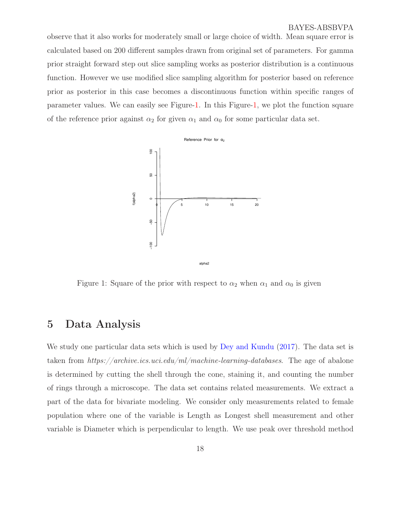<span id="page-17-1"></span>observe that it also works for moderately small or large choice of width. Mean square error is calculated based on 200 different samples drawn from original set of parameters. For gamma prior straight forward step out slice sampling works as posterior distribution is a continuous function. However we use modified slice sampling algorithm for posterior based on reference prior as posterior in this case becomes a discontinuous function within specific ranges of parameter values. We can easily see Figure[-1.](#page-17-0) In this Figure[-1,](#page-17-0) we plot the function square of the reference prior against  $\alpha_2$  for given  $\alpha_1$  and  $\alpha_0$  for some particular data set.



<span id="page-17-0"></span>Figure 1: Square of the prior with respect to  $\alpha_2$  when  $\alpha_1$  and  $\alpha_0$  is given

## 5 Data Analysis

We study one particular data sets which is used by [Dey and Kundu](#page-22-1) [\(2017](#page-22-1)). The data set is taken from  $https://architecture.ics.uci.edu/ml/machine-learning-databases.$  The age of abalone is determined by cutting the shell through the cone, staining it, and counting the number of rings through a microscope. The data set contains related measurements. We extract a part of the data for bivariate modeling. We consider only measurements related to female population where one of the variable is Length as Longest shell measurement and other variable is Diameter which is perpendicular to length. We use peak over threshold method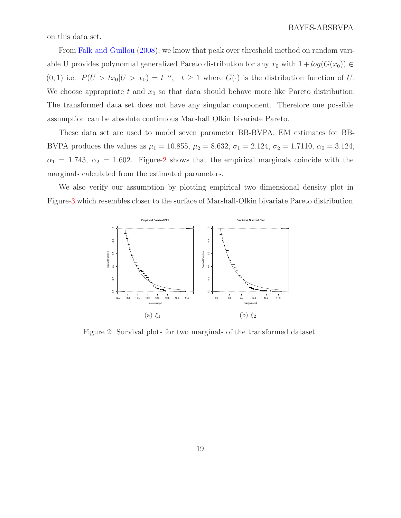<span id="page-18-1"></span>on this data set.

From [Falk and Guillou](#page-22-8) [\(2008\)](#page-22-8), we know that peak over threshold method on random variable U provides polynomial generalized Pareto distribution for any  $x_0$  with  $1 + log(G(x_0)) \in$  $(0, 1)$  i.e.  $P(U > tx_0 | U > x_0) = t^{-\alpha}, \quad t \ge 1$  where  $G(\cdot)$  is the distribution function of U. We choose appropriate t and  $x_0$  so that data should behave more like Pareto distribution. The transformed data set does not have any singular component. Therefore one possible assumption can be absolute continuous Marshall Olkin bivariate Pareto.

These data set are used to model seven parameter BB-BVPA. EM estimates for BB-BVPA produces the values as  $\mu_1 = 10.855$ ,  $\mu_2 = 8.632$ ,  $\sigma_1 = 2.124$ ,  $\sigma_2 = 1.7110$ ,  $\alpha_0 = 3.124$ ,  $\alpha_1 = 1.743, \ \alpha_2 = 1.602.$  Figure[-2](#page-18-0) shows that the empirical marginals coincide with the marginals calculated from the estimated parameters.

We also verify our assumption by plotting empirical two dimensional density plot in Figure[-3](#page-19-0) which resembles closer to the surface of Marshall-Olkin bivariate Pareto distribution.



<span id="page-18-0"></span>Figure 2: Survival plots for two marginals of the transformed dataset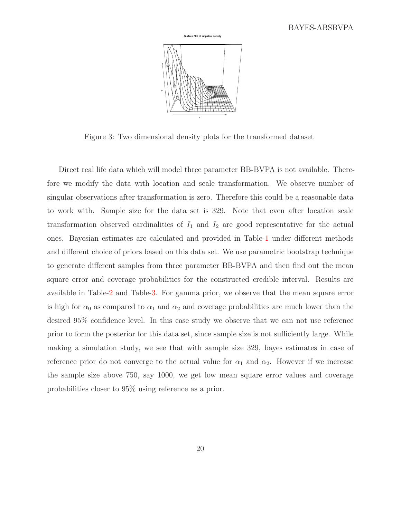

<span id="page-19-0"></span>Figure 3: Two dimensional density plots for the transformed dataset

Direct real life data which will model three parameter BB-BVPA is not available. Therefore we modify the data with location and scale transformation. We observe number of singular observations after transformation is zero. Therefore this could be a reasonable data to work with. Sample size for the data set is 329. Note that even after location scale transformation observed cardinalities of  $I_1$  and  $I_2$  are good representative for the actual ones. Bayesian estimates are calculated and provided in Table[-1](#page-20-0) under different methods and different choice of priors based on this data set. We use parametric bootstrap technique to generate different samples from three parameter BB-BVPA and then find out the mean square error and coverage probabilities for the constructed credible interval. Results are available in Table[-2](#page-20-1) and Table[-3.](#page-21-1) For gamma prior, we observe that the mean square error is high for  $\alpha_0$  as compared to  $\alpha_1$  and  $\alpha_2$  and coverage probabilities are much lower than the desired 95% confidence level. In this case study we observe that we can not use reference prior to form the posterior for this data set, since sample size is not sufficiently large. While making a simulation study, we see that with sample size 329, bayes estimates in case of reference prior do not converge to the actual value for  $\alpha_1$  and  $\alpha_2$ . However if we increase the sample size above 750, say 1000, we get low mean square error values and coverage probabilities closer to 95% using reference as a prior.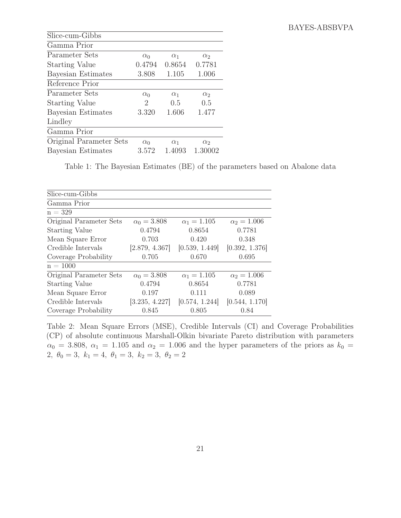| Slice-cum-Gibbs         |            |            |            |
|-------------------------|------------|------------|------------|
| Gamma Prior             |            |            |            |
| Parameter Sets          | $\alpha_0$ | $\alpha_1$ | $\alpha_2$ |
| <b>Starting Value</b>   | 0.4794     | 0.8654     | 0.7781     |
| Bayesian Estimates      | 3.808      | 1.105      | 1.006      |
| Reference Prior         |            |            |            |
| Parameter Sets          | $\alpha_0$ | $\alpha_1$ | $\alpha_2$ |
| <b>Starting Value</b>   | 2          | 0.5        | 0.5        |
| Bayesian Estimates      | 3.320      | 1.606      | 1.477      |
| Lindley                 |            |            |            |
| Gamma Prior             |            |            |            |
| Original Parameter Sets | $\alpha_0$ | $\alpha_1$ | $\alpha_2$ |
| Bayesian Estimates      | 3.572      | 1.4093     | 1.30002    |

<span id="page-20-0"></span>Table 1: The Bayesian Estimates (BE) of the parameters based on Abalone data

| Slice-cum-Gibbs         |                    |                    |                    |
|-------------------------|--------------------|--------------------|--------------------|
| Gamma Prior             |                    |                    |                    |
| $n = 329$               |                    |                    |                    |
| Original Parameter Sets | $\alpha_0 = 3.808$ | $\alpha_1 = 1.105$ | $\alpha_2 = 1.006$ |
| <b>Starting Value</b>   | 0.4794             | 0.8654             | 0.7781             |
| Mean Square Error       | 0.703              | 0.420              | 0.348              |
| Credible Intervals      | [2.879, 4.367]     | [0.539, 1.449]     | [0.392, 1.376]     |
| Coverage Probability    | 0.705              | 0.670              | 0.695              |
| $n = 1000$              |                    |                    |                    |
| Original Parameter Sets | $\alpha_0 = 3.808$ | $\alpha_1 = 1.105$ | $\alpha_2 = 1.006$ |
| <b>Starting Value</b>   | 0.4794             | 0.8654             | 0.7781             |
| Mean Square Error       | 0.197              | 0.111              | 0.089              |
| Credible Intervals      | [3.235, 4.227]     | [0.574, 1.244]     | [0.544, 1.170]     |
| Coverage Probability    | 0.845              | 0.805              | 0.84               |

<span id="page-20-1"></span>Table 2: Mean Square Errors (MSE), Credible Intervals (CI) and Coverage Probabilities (CP) of absolute continuous Marshall-Olkin bivariate Pareto distribution with parameters  $\alpha_0 = 3.808, \alpha_1 = 1.105$  and  $\alpha_2 = 1.006$  and the hyper parameters of the priors as  $k_0 =$ 2,  $\theta_0 = 3, k_1 = 4, \theta_1 = 3, k_2 = 3, \theta_2 = 2$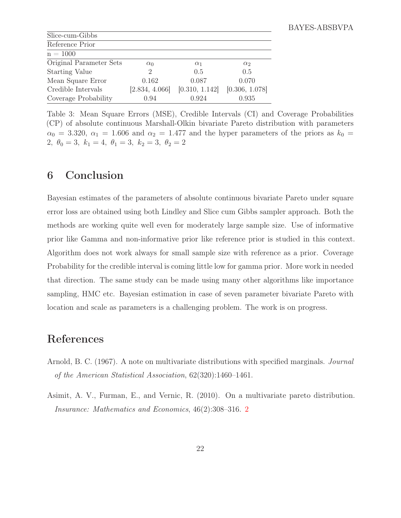| Slice-cum-Gibbs         |                             |                |                |
|-------------------------|-----------------------------|----------------|----------------|
| Reference Prior         |                             |                |                |
| $n = 1000$              |                             |                |                |
| Original Parameter Sets | $\alpha_0$                  | $\alpha_1$     | $\alpha_2$     |
| <b>Starting Value</b>   | $\mathcal{D}_{\mathcal{L}}$ | 0.5            | 0.5            |
| Mean Square Error       | 0.162                       | 0.087          | 0.070          |
| Credible Intervals      | [2.834, 4.066]              | [0.310, 1.142] | [0.306, 1.078] |
| Coverage Probability    | 0.94                        | 0.924          | 0.935          |

<span id="page-21-1"></span>Table 3: Mean Square Errors (MSE), Credible Intervals (CI) and Coverage Probabilities (CP) of absolute continuous Marshall-Olkin bivariate Pareto distribution with parameters  $\alpha_0 = 3.320, \alpha_1 = 1.606$  and  $\alpha_2 = 1.477$  and the hyper parameters of the priors as  $k_0 =$ 2,  $\theta_0 = 3$ ,  $k_1 = 4$ ,  $\theta_1 = 3$ ,  $k_2 = 3$ ,  $\theta_2 = 2$ 

## 6 Conclusion

Bayesian estimates of the parameters of absolute continuous bivariate Pareto under square error loss are obtained using both Lindley and Slice cum Gibbs sampler approach. Both the methods are working quite well even for moderately large sample size. Use of informative prior like Gamma and non-informative prior like reference prior is studied in this context. Algorithm does not work always for small sample size with reference as a prior. Coverage Probability for the credible interval is coming little low for gamma prior. More work in needed that direction. The same study can be made using many other algorithms like importance sampling, HMC etc. Bayesian estimation in case of seven parameter bivariate Pareto with location and scale as parameters is a challenging problem. The work is on progress.

## References

- Arnold, B. C. (1967). A note on multivariate distributions with specified marginals. Journal of the American Statistical Association, 62(320):1460–1461.
- <span id="page-21-0"></span>Asimit, A. V., Furman, E., and Vernic, R. (2010). On a multivariate pareto distribution. Insurance: Mathematics and Economics, 46(2):308–316. [2](#page-1-0)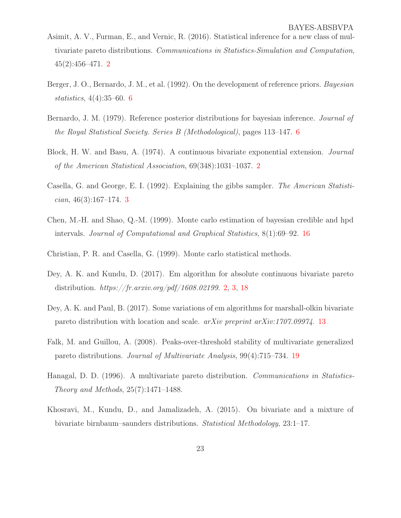- <span id="page-22-2"></span>Asimit, A. V., Furman, E., and Vernic, R. (2016). Statistical inference for a new class of multivariate pareto distributions. Communications in Statistics-Simulation and Computation, 45(2):456–471. [2](#page-1-0)
- <span id="page-22-4"></span>Berger, J. O., Bernardo, J. M., et al. (1992). On the development of reference priors. Bayesian statistics, 4(4):35–60. [6](#page-5-0)
- <span id="page-22-5"></span>Bernardo, J. M. (1979). Reference posterior distributions for bayesian inference. *Journal of* the Royal Statistical Society. Series B (Methodological), pages 113–147. [6](#page-5-0)
- <span id="page-22-0"></span>Block, H. W. and Basu, A. (1974). A continuous bivariate exponential extension. Journal of the American Statistical Association, 69(348):1031–1037. [2](#page-1-0)
- <span id="page-22-3"></span>Casella, G. and George, E. I. (1992). Explaining the gibbs sampler. The American Statisti- $cian, 46(3):167-174.$  $cian, 46(3):167-174.$  $cian, 46(3):167-174.$  3
- <span id="page-22-7"></span>Chen, M.-H. and Shao, Q.-M. (1999). Monte carlo estimation of bayesian credible and hpd intervals. Journal of Computational and Graphical Statistics, 8(1):69–92. [16](#page-15-0)
- Christian, P. R. and Casella, G. (1999). Monte carlo statistical methods.
- <span id="page-22-1"></span>Dey, A. K. and Kundu, D. (2017). Em algorithm for absolute continuous bivariate pareto distribution.  $https://fr.array.org/pdf/1608.02199. 2, 3, 18$  $https://fr.array.org/pdf/1608.02199. 2, 3, 18$  $https://fr.array.org/pdf/1608.02199. 2, 3, 18$  $https://fr.array.org/pdf/1608.02199. 2, 3, 18$  $https://fr.array.org/pdf/1608.02199. 2, 3, 18$  $https://fr.array.org/pdf/1608.02199. 2, 3, 18$
- <span id="page-22-6"></span>Dey, A. K. and Paul, B. (2017). Some variations of em algorithms for marshall-olkin bivariate pareto distribution with location and scale. arXiv preprint arXiv:1707.09974. [13](#page-12-0)
- <span id="page-22-8"></span>Falk, M. and Guillou, A. (2008). Peaks-over-threshold stability of multivariate generalized pareto distributions. Journal of Multivariate Analysis, 99(4):715–734. [19](#page-18-1)
- Hanagal, D. D. (1996). A multivariate pareto distribution. Communications in Statistics-Theory and Methods, 25(7):1471–1488.
- Khosravi, M., Kundu, D., and Jamalizadeh, A. (2015). On bivariate and a mixture of bivariate birnbaum–saunders distributions. Statistical Methodology, 23:1–17.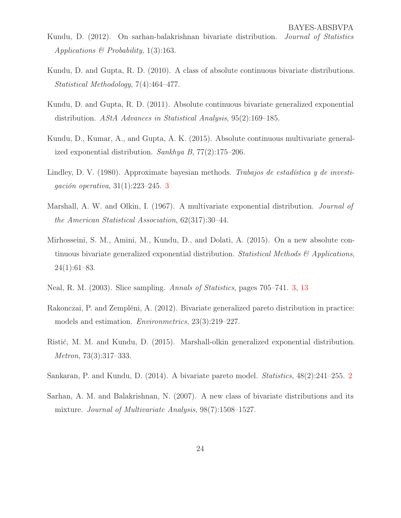- Kundu, D. (2012). On sarhan-balakrishnan bivariate distribution. Journal of Statistics Applications  $\mathcal B$  Probability, 1(3):163.
- Kundu, D. and Gupta, R. D. (2010). A class of absolute continuous bivariate distributions. Statistical Methodology, 7(4):464–477.
- Kundu, D. and Gupta, R. D. (2011). Absolute continuous bivariate generalized exponential distribution. AStA Advances in Statistical Analysis, 95(2):169–185.
- Kundu, D., Kumar, A., and Gupta, A. K. (2015). Absolute continuous multivariate generalized exponential distribution. Sankhya B, 77(2):175–206.
- <span id="page-23-1"></span>Lindley, D. V. (1980). Approximate bayesian methods. Trabajos de estadística y de investigación operativa, 31(1):223–245. [3](#page-2-0)
- Marshall, A. W. and Olkin, I. (1967). A multivariate exponential distribution. Journal of the American Statistical Association, 62(317):30–44.
- Mirhosseini, S. M., Amini, M., Kundu, D., and Dolati, A. (2015). On a new absolute continuous bivariate generalized exponential distribution. Statistical Methods  $\mathcal{B}$  Applications, 24(1):61–83.
- <span id="page-23-2"></span>Neal, R. M. (2003). Slice sampling. Annals of Statistics, pages 705–741. [3,](#page-2-0) [13](#page-12-0)
- Rakonczai, P. and Zempléni, A. (2012). Bivariate generalized pareto distribution in practice: models and estimation. Environmetrics, 23(3):219–227.
- Ristić, M. M. and Kundu, D. (2015). Marshall-olkin generalized exponential distribution. Metron, 73(3):317–333.
- <span id="page-23-0"></span>Sankaran, P. and Kundu, D. (2014). A bivariate pareto model. Statistics, 48(2):241–255. [2](#page-1-0)
- Sarhan, A. M. and Balakrishnan, N. (2007). A new class of bivariate distributions and its mixture. Journal of Multivariate Analysis, 98(7):1508–1527.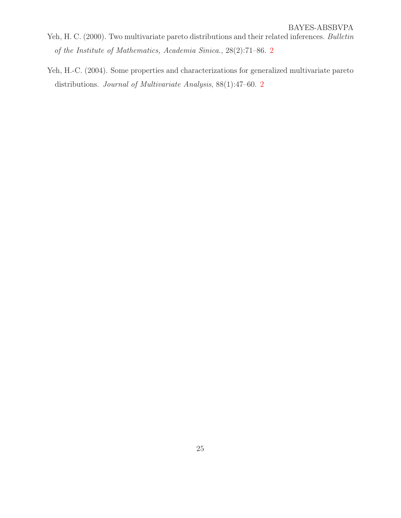- <span id="page-24-0"></span>Yeh, H. C. (2000). Two multivariate pareto distributions and their related inferences. Bulletin of the Institute of Mathematics, Academia Sinica., 28(2):71–86. [2](#page-1-0)
- <span id="page-24-1"></span>Yeh, H.-C. (2004). Some properties and characterizations for generalized multivariate pareto distributions. Journal of Multivariate Analysis, 88(1):47–60. [2](#page-1-0)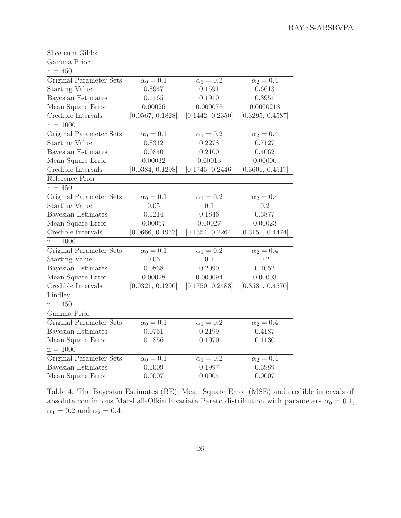| Slice-cum-Gibbs           |                  |                  |                  |
|---------------------------|------------------|------------------|------------------|
| Gamma Prior               |                  |                  |                  |
| $n = 450$                 |                  |                  |                  |
| Original Parameter Sets   | $\alpha_0 = 0.1$ | $\alpha_1=0.2$   | $\alpha_2=0.4$   |
| <b>Starting Value</b>     | 0.8947           | 0.1591           | 0.6613           |
| <b>Bayesian Estimates</b> | 0.1165           | 0.1910           | 0.3951           |
| Mean Square Error         | 0.00026          | 0.000075         | 0.0000218        |
| Credible Intervals        | [0.0567, 0.1828] | [0.1442, 0.2350] | [0.3295, 0.4587] |
| $n = 1000$                |                  |                  |                  |
| Original Parameter Sets   | $\alpha_0=0.1$   | $\alpha_1=0.2$   | $\alpha_2 = 0.4$ |
| <b>Starting Value</b>     | 0.8312           | 0.2278           | 0.7127           |
| Bayesian Estimates        | 0.0840           | 0.2100           | 0.4062           |
| Mean Square Error         | 0.00032          | 0.00013          | 0.00006          |
| Credible Intervals        | [0.0384, 0.1298] | [0.1745, 0.2446] | [0.3601, 0.4517] |
| Reference Prior           |                  |                  |                  |
| $n = 450$                 |                  |                  |                  |
| Original Parameter Sets   | $\alpha_0=0.1$   | $\alpha_1=0.2$   | $\alpha_2=0.4$   |
| <b>Starting Value</b>     | 0.05             | 0.1              | 0.2              |
| Bayesian Estimates        | 0.1214           | 0.1846           | 0.3877           |
| Mean Square Error         | 0.00057          | 0.00027          | 0.00023          |
| Credible Intervals        | [0.0666, 0.1957] | [0.1354, 0.2264] | [0.3151, 0.4474] |
| $n = 1000$                |                  |                  |                  |
| Original Parameter Sets   | $\alpha_0=0.1$   | $\alpha_1=0.2$   | $\alpha_2=0.4$   |
| <b>Starting Value</b>     | 0.05             | 0.1              | 0.2              |
| Bayesian Estimates        | 0.0838           | 0.2090           | 0.4052           |
| Mean Square Error         | 0.00028          | 0.000094         | 0.00003          |
| Credible Intervals        | [0.0321, 0.1290] | [0.1750, 0.2488] | [0.3581, 0.4570] |
| Lindley                   |                  |                  |                  |
| $n = 450$                 |                  |                  |                  |
| Gamma Prior               |                  |                  |                  |
| Original Parameter Sets   | $\alpha_0=0.1$   | $\alpha_1=0.2$   | $\alpha_2 = 0.4$ |
| Bayesian Estimates        | 0.0751           | 0.2199           | 0.4187           |
| Mean Square Error         | 0.1856           | 0.1070           | 0.1130           |
| $n = 1000$                |                  |                  |                  |
| Original Parameter Sets   | $\alpha_0 = 0.1$ | $\alpha_1=0.2$   | $\alpha_2=0.4$   |
| Bayesian Estimates        | 0.1009           | 0.1997           | 0.3989           |
| Mean Square Error         | 0.0007           | 0.0004           | 0.0007           |

<span id="page-25-0"></span>Table 4: The Bayesian Estimates (BE), Mean Square Error (MSE) and credible intervals of absolute continuous Marshall-Olkin bivariate Pareto distribution with parameters  $\alpha_0 = 0.1$ ,  $\alpha_1=0.2$  and  $\alpha_2=0.4$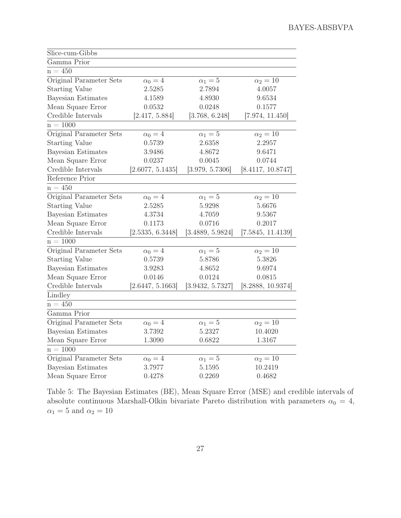| Slice-cum-Gibbs           |                  |                  |                   |
|---------------------------|------------------|------------------|-------------------|
| Gamma Prior               |                  |                  |                   |
| $n = 450$                 |                  |                  |                   |
| Original Parameter Sets   | $\alpha_0 = 4$   | $\alpha_1=5$     | $\alpha_2=10$     |
| <b>Starting Value</b>     | 2.5285           | 2.7894           | 4.0057            |
| <b>Bayesian Estimates</b> | 4.1589           | 4.8930           | 9.6534            |
| Mean Square Error         | 0.0532           | 0.0248           | 0.1577            |
| Credible Intervals        | [2.417, 5.884]   | [3.768, 6.248]   | [7.974, 11.450]   |
| $n = 1000$                |                  |                  |                   |
| Original Parameter Sets   | $\alpha_0=4$     | $\alpha_1=5$     | $\alpha_2=10$     |
| <b>Starting Value</b>     | 0.5739           | 2.6358           | 2.2957            |
| <b>Bayesian Estimates</b> | 3.9486           | 4.8672           | 9.6471            |
| Mean Square Error         | 0.0237           | 0.0045           | 0.0744            |
| Credible Intervals        | [2.6077, 5.1435] | [3.979, 5.7306]  | [8.4117, 10.8747] |
| Reference Prior           |                  |                  |                   |
| $n = 450$                 |                  |                  |                   |
| Original Parameter Sets   | $\alpha_0=4$     | $\alpha_1=5$     | $\alpha_2=10$     |
| <b>Starting Value</b>     | 2.5285           | 5.9298           | 5.6676            |
| <b>Bayesian Estimates</b> | 4.3734           | 4.7059           | 9.5367            |
| Mean Square Error         | 0.1173           | 0.0716           | 0.2017            |
| Credible Intervals        | [2.5335, 6.3448] | [3.4889, 5.9824] | [7.5845, 11.4139] |
| $n = 1000$                |                  |                  |                   |
| Original Parameter Sets   | $\alpha_0=4$     | $\alpha_1=5$     | $\alpha_2=10$     |
| <b>Starting Value</b>     | 0.5739           | 5.8786           | 5.3826            |
| Bayesian Estimates        | 3.9283           | 4.8652           | 9.6974            |
| Mean Square Error         | 0.0146           | 0.0124           | 0.0815            |
| Credible Intervals        | [2.6447, 5.1663] | [3.9432, 5.7327] | [8.2888, 10.9374] |
| Lindley                   |                  |                  |                   |
| $n = 450$                 |                  |                  |                   |
| Gamma Prior               |                  |                  |                   |
| Original Parameter Sets   | $\alpha_0=4$     | $\alpha_1=5$     | $\alpha_2=10$     |
| Bayesian Estimates        | 3.7392           | 5.2327           | 10.4020           |
| Mean Square Error         | 1.3090           | 0.6822           | 1.3167            |
| $n = 1000$                |                  |                  |                   |
| Original Parameter Sets   | $\alpha_0=4$     | $\alpha_1=5$     | $\alpha_2=10$     |
| <b>Bayesian Estimates</b> | 3.7977           | 5.1595           | 10.2419           |
| Mean Square Error         | 0.4278           | 0.2269           | 0.4682            |

<span id="page-26-0"></span>Table 5: The Bayesian Estimates (BE), Mean Square Error (MSE) and credible intervals of absolute continuous Marshall-Olkin bivariate Pareto distribution with parameters  $\alpha_0 = 4$ ,  $\alpha_1=5$  and  $\alpha_2=10$